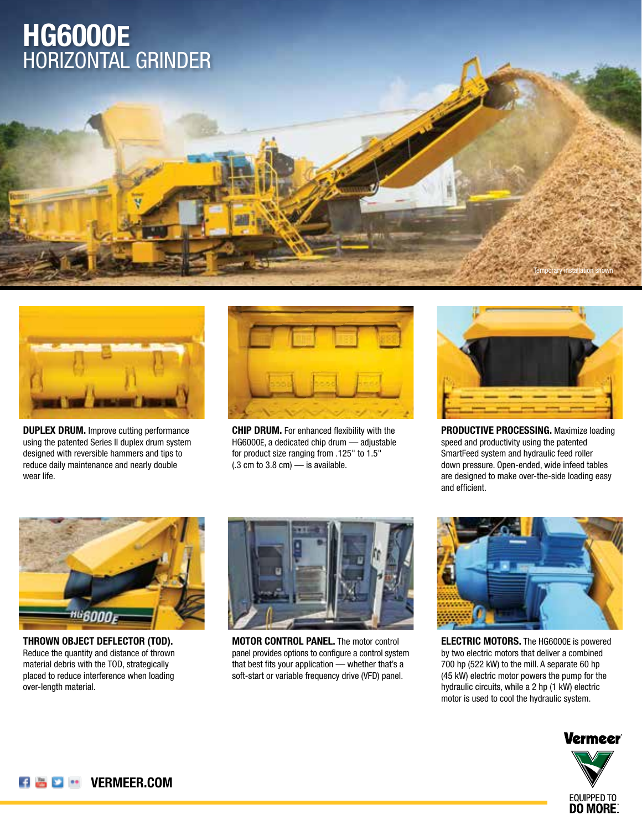# HORIZONTAL GRINDER **HG6000E**



**DUPLEX DRUM.** Improve cutting performance using the patented Series II duplex drum system designed with reversible hammers and tips to reduce daily maintenance and nearly double wear life.



**CHIP DRUM.** For enhanced flexibility with the HG6000E, a dedicated chip drum — adjustable for product size ranging from .125" to 1.5"  $(.3 \text{ cm to } 3.8 \text{ cm})$  — is available.



Temporary installation shown

**PRODUCTIVE PROCESSING.** Maximize loading speed and productivity using the patented SmartFeed system and hydraulic feed roller down pressure. Open-ended, wide infeed tables are designed to make over-the-side loading easy and efficient.



**THROWN OBJECT DEFLECTOR (TOD).**  Reduce the quantity and distance of thrown material debris with the TOD, strategically placed to reduce interference when loading over-length material.



**MOTOR CONTROL PANEL.** The motor control panel provides options to configure a control system that best fits your application — whether that's a soft-start or variable frequency drive (VFD) panel.



**ELECTRIC MOTORS.** The HG6000E is powered by two electric motors that deliver a combined 700 hp (522 kW) to the mill. A separate 60 hp (45 kW) electric motor powers the pump for the hydraulic circuits, while a 2 hp (1 kW) electric motor is used to cool the hydraulic system.